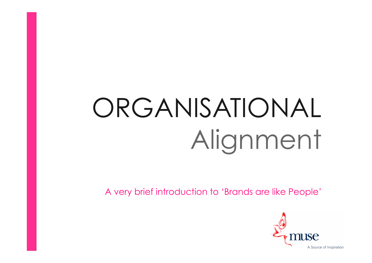## ORGANISATIONAL Alignment

A very brief introduction to 'Brands are like People'

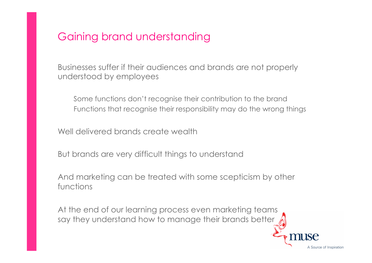## Gaining brand understanding

Businesses suffer if their audiences and brands are not properly understood by employees

Some functions don't recognise their contribution to the brand Functions that recognise their responsibility may do the wrong things

Well delivered brands create wealth

But brands are very difficult things to understand

And marketing can be treated with some scepticism by other functions

At the end of our learning process even marketing teams say they understand how to manage their brands better

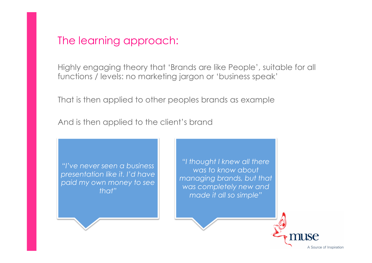### The learning approach:

Highly engaging theory that 'Brands are like People', suitable for all functions / levels: no marketing jargon or 'business speak'

That is then applied to other peoples brands as example

And is then applied to the client's brand

*"I've never seen a business presentation like it. I'd have paid my own money to see that"* 

*"I thought I knew all there was to know about managing brands, but that was completely new and made it all so simple"* 

A Source of Inspiration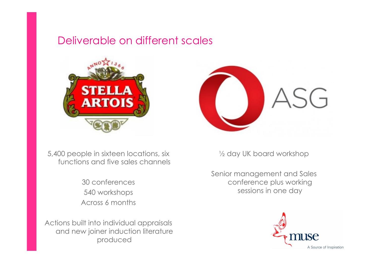## Deliverable on different scales



5,400 people in sixteen locations, six functions and five sales channels

> 30 conferences 540 workshops Across 6 months

Actions built into individual appraisals and new joiner induction literature produced



½ day UK board workshop

Senior management and Sales conference plus working sessions in one day

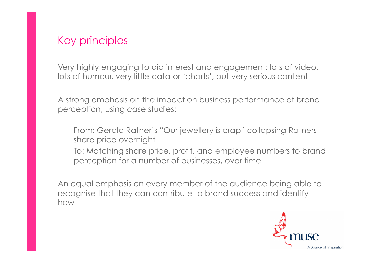## Key principles

Very highly engaging to aid interest and engagement: lots of video, lots of humour, very little data or 'charts', but very serious content

A strong emphasis on the impact on business performance of brand perception, using case studies:

From: Gerald Ratner's "Our jewellery is crap" collapsing Ratners share price overnight

To: Matching share price, profit, and employee numbers to brand perception for a number of businesses, over time

An equal emphasis on every member of the audience being able to recognise that they can contribute to brand success and identify how

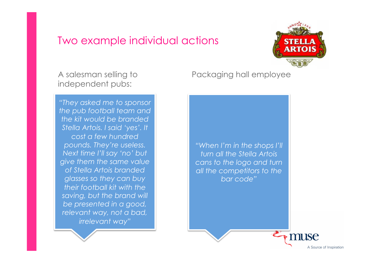#### Two example individual actions



A salesman selling to independent pubs:

*"They asked me to sponsor the pub football team and the kit would be branded Stella Artois. I said 'yes'. It cost a few hundred pounds. They're useless. Next time I'll say 'no' but give them the same value of Stella Artois branded glasses so they can buy their football kit with the saving, but the brand will be presented in a good, relevant way, not a bad, irrelevant way"* 

Packaging hall employee



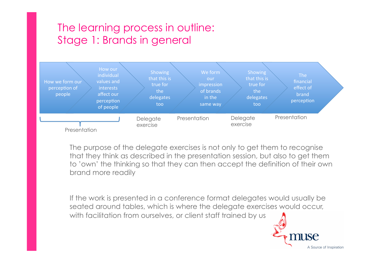## The learning process in outline: Stage 1: Brands in general



The purpose of the delegate exercises is not only to get them to recognise that they think as described in the presentation session, but also to get them to 'own' the thinking so that they can then accept the definition of their own brand more readily

If the work is presented in a conference format delegates would usually be seated around tables, which is where the delegate exercises would occur, with facilitation from ourselves, or client staff trained by us

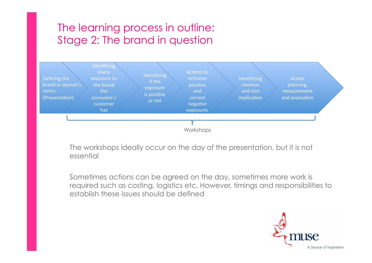## The learning process in outline: Stage 2: The brand in question



The workshops ideally occur on the day of the presentation, but it is not essential

Sometimes actions can be agreed on the day, sometimes more work is required such as costing, logistics etc. However, timings and responsibilities to establish these issues should be defined